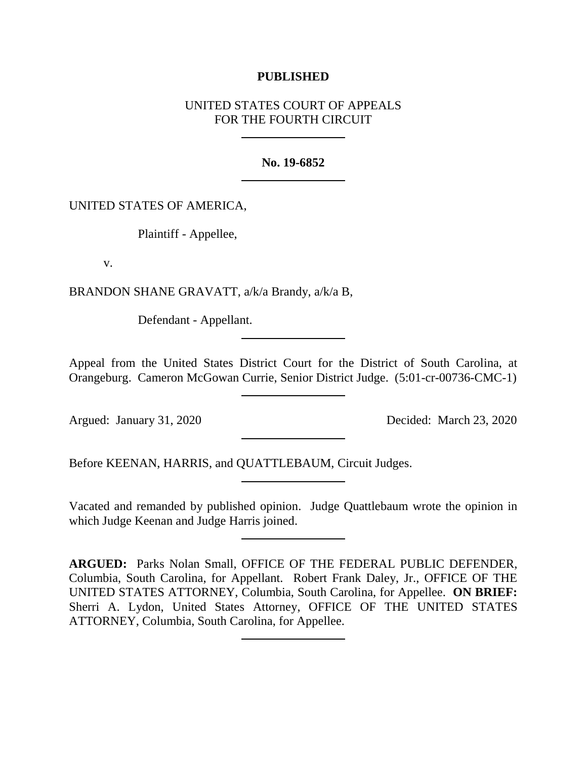## **PUBLISHED**

# UNITED STATES COURT OF APPEALS FOR THE FOURTH CIRCUIT

#### **No. 19-6852**

## UNITED STATES OF AMERICA,

Plaintiff - Appellee,

v.

BRANDON SHANE GRAVATT, a/k/a Brandy, a/k/a B,

Defendant - Appellant.

Appeal from the United States District Court for the District of South Carolina, at Orangeburg. Cameron McGowan Currie, Senior District Judge. (5:01-cr-00736-CMC-1)

Argued: January 31, 2020 Decided: March 23, 2020

Before KEENAN, HARRIS, and QUATTLEBAUM, Circuit Judges.

Vacated and remanded by published opinion. Judge Quattlebaum wrote the opinion in which Judge Keenan and Judge Harris joined.

**ARGUED:** Parks Nolan Small, OFFICE OF THE FEDERAL PUBLIC DEFENDER, Columbia, South Carolina, for Appellant. Robert Frank Daley, Jr., OFFICE OF THE UNITED STATES ATTORNEY, Columbia, South Carolina, for Appellee. **ON BRIEF:**  Sherri A. Lydon, United States Attorney, OFFICE OF THE UNITED STATES ATTORNEY, Columbia, South Carolina, for Appellee.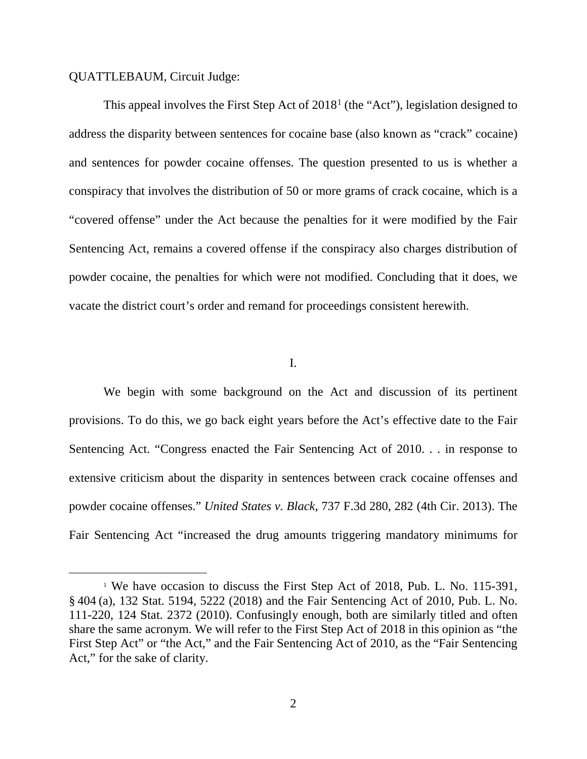## QUATTLEBAUM, Circuit Judge:

This appeal involves the First Step Act of 20[1](#page-1-0)8<sup>1</sup> (the "Act"), legislation designed to address the disparity between sentences for cocaine base (also known as "crack" cocaine) and sentences for powder cocaine offenses. The question presented to us is whether a conspiracy that involves the distribution of 50 or more grams of crack cocaine, which is a "covered offense" under the Act because the penalties for it were modified by the Fair Sentencing Act, remains a covered offense if the conspiracy also charges distribution of powder cocaine, the penalties for which were not modified. Concluding that it does, we vacate the district court's order and remand for proceedings consistent herewith.

I.

We begin with some background on the Act and discussion of its pertinent provisions. To do this, we go back eight years before the Act's effective date to the Fair Sentencing Act. "Congress enacted the Fair Sentencing Act of 2010. . . in response to extensive criticism about the disparity in sentences between crack cocaine offenses and powder cocaine offenses." *United States v. Black*, 737 F.3d 280, 282 (4th Cir. 2013). The Fair Sentencing Act "increased the drug amounts triggering mandatory minimums for

<span id="page-1-0"></span><sup>&</sup>lt;sup>1</sup> We have occasion to discuss the First Step Act of 2018, Pub. L. No. 115-391, § 404 (a), 132 Stat. 5194, 5222 (2018) and the Fair Sentencing Act of 2010, Pub. L. No. 111-220, 124 Stat. 2372 (2010). Confusingly enough, both are similarly titled and often share the same acronym. We will refer to the First Step Act of 2018 in this opinion as "the First Step Act" or "the Act," and the Fair Sentencing Act of 2010, as the "Fair Sentencing Act," for the sake of clarity.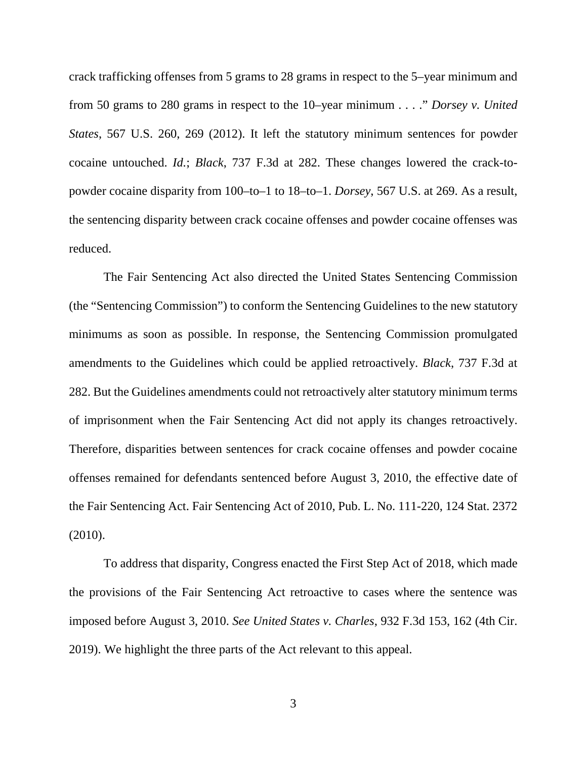crack trafficking offenses from 5 grams to 28 grams in respect to the 5–year minimum and from 50 grams to 280 grams in respect to the 10–year minimum . . . ." *Dorsey v. United States*, 567 U.S. 260, 269 (2012). It left the statutory minimum sentences for powder cocaine untouched. *Id.*; *Black*, 737 F.3d at 282. These changes lowered the crack-topowder cocaine disparity from 100–to–1 to 18–to–1. *Dorsey*, 567 U.S. at 269. As a result, the sentencing disparity between crack cocaine offenses and powder cocaine offenses was reduced.

The Fair Sentencing Act also directed the United States Sentencing Commission (the "Sentencing Commission") to conform the Sentencing Guidelines to the new statutory minimums as soon as possible. In response, the Sentencing Commission promulgated amendments to the Guidelines which could be applied retroactively. *Black*, 737 F.3d at 282. But the Guidelines amendments could not retroactively alter statutory minimum terms of imprisonment when the Fair Sentencing Act did not apply its changes retroactively. Therefore, disparities between sentences for crack cocaine offenses and powder cocaine offenses remained for defendants sentenced before August 3, 2010, the effective date of the Fair Sentencing Act. Fair Sentencing Act of 2010, Pub. L. No. 111-220, 124 Stat. 2372 (2010).

To address that disparity, Congress enacted the First Step Act of 2018, which made the provisions of the Fair Sentencing Act retroactive to cases where the sentence was imposed before August 3, 2010. *See United States v. Charles*, 932 F.3d 153, 162 (4th Cir. 2019). We highlight the three parts of the Act relevant to this appeal.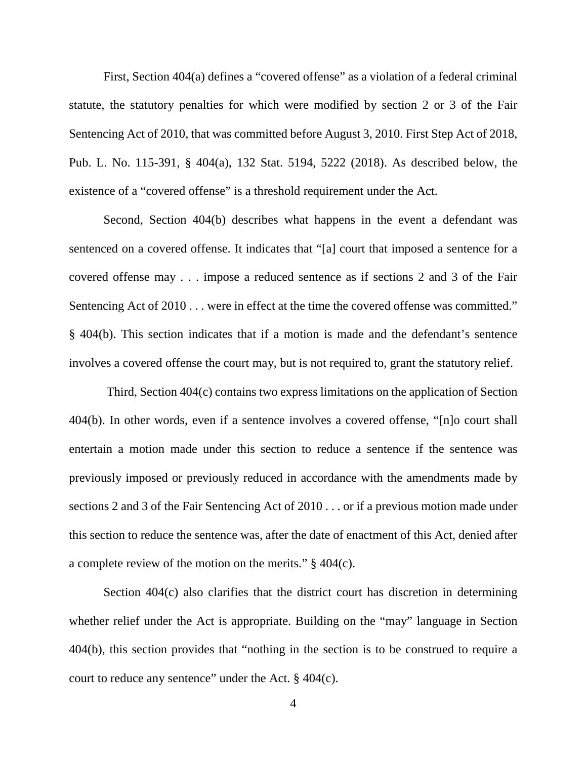First, Section 404(a) defines a "covered offense" as a violation of a federal criminal statute, the statutory penalties for which were modified by section 2 or 3 of the Fair Sentencing Act of 2010, that was committed before August 3, 2010. First Step Act of 2018, Pub. L. No. 115-391, § 404(a), 132 Stat. 5194, 5222 (2018). As described below, the existence of a "covered offense" is a threshold requirement under the Act.

Second, Section 404(b) describes what happens in the event a defendant was sentenced on a covered offense. It indicates that "[a] court that imposed a sentence for a covered offense may . . . impose a reduced sentence as if sections 2 and 3 of the Fair Sentencing Act of 2010 . . . were in effect at the time the covered offense was committed." § 404(b). This section indicates that if a motion is made and the defendant's sentence involves a covered offense the court may, but is not required to, grant the statutory relief.

Third, Section 404(c) contains two express limitations on the application of Section 404(b). In other words, even if a sentence involves a covered offense, "[n]o court shall entertain a motion made under this section to reduce a sentence if the sentence was previously imposed or previously reduced in accordance with the amendments made by sections 2 and 3 of the Fair Sentencing Act of 2010 . . . or if a previous motion made under this section to reduce the sentence was, after the date of enactment of this Act, denied after a complete review of the motion on the merits." § 404(c).

Section 404(c) also clarifies that the district court has discretion in determining whether relief under the Act is appropriate. Building on the "may" language in Section 404(b), this section provides that "nothing in the section is to be construed to require a court to reduce any sentence" under the Act. § 404(c).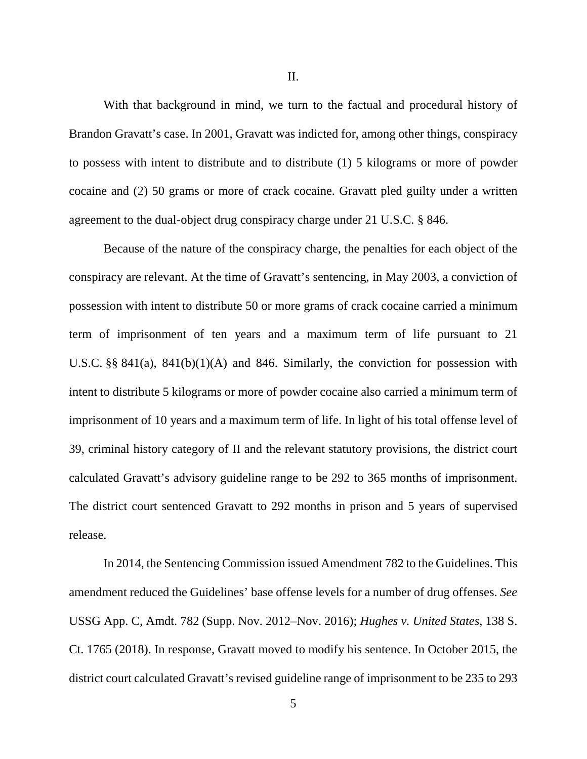II.

With that background in mind, we turn to the factual and procedural history of Brandon Gravatt's case. In 2001, Gravatt was indicted for, among other things, conspiracy to possess with intent to distribute and to distribute (1) 5 kilograms or more of powder cocaine and (2) 50 grams or more of crack cocaine. Gravatt pled guilty under a written agreement to the dual-object drug conspiracy charge under 21 U.S.C. § 846.

Because of the nature of the conspiracy charge, the penalties for each object of the conspiracy are relevant. At the time of Gravatt's sentencing, in May 2003, a conviction of possession with intent to distribute 50 or more grams of crack cocaine carried a minimum term of imprisonment of ten years and a maximum term of life pursuant to 21 U.S.C. §§ 841(a), 841(b)(1)(A) and 846. Similarly, the conviction for possession with intent to distribute 5 kilograms or more of powder cocaine also carried a minimum term of imprisonment of 10 years and a maximum term of life. In light of his total offense level of 39, criminal history category of II and the relevant statutory provisions, the district court calculated Gravatt's advisory guideline range to be 292 to 365 months of imprisonment. The district court sentenced Gravatt to 292 months in prison and 5 years of supervised release.

In 2014, the Sentencing Commission issued Amendment 782 to the Guidelines. This amendment reduced the Guidelines' base offense levels for a number of drug offenses. *See*  USSG App. C, Amdt. 782 (Supp. Nov. 2012–Nov. 2016); *Hughes v. United States*, 138 S. Ct. 1765 (2018). In response, Gravatt moved to modify his sentence. In October 2015, the district court calculated Gravatt's revised guideline range of imprisonment to be 235 to 293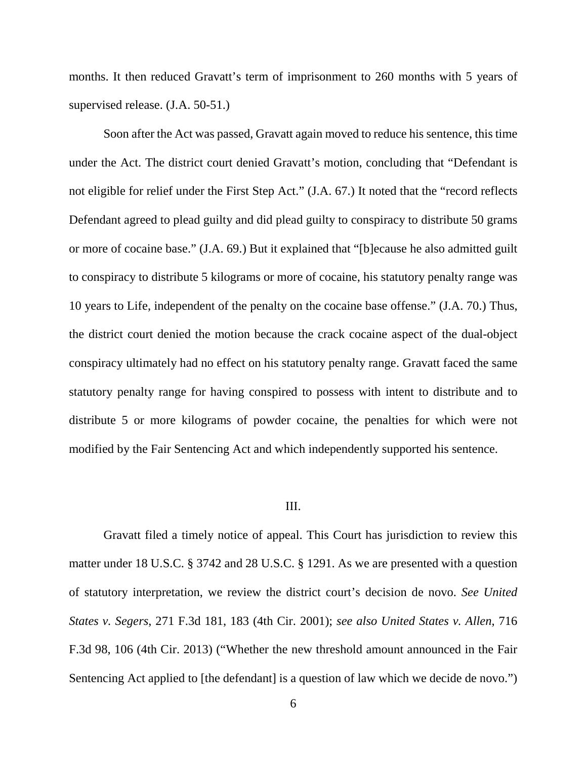months. It then reduced Gravatt's term of imprisonment to 260 months with 5 years of supervised release. (J.A. 50-51.)

Soon after the Act was passed, Gravatt again moved to reduce his sentence, this time under the Act. The district court denied Gravatt's motion, concluding that "Defendant is not eligible for relief under the First Step Act." (J.A. 67.) It noted that the "record reflects Defendant agreed to plead guilty and did plead guilty to conspiracy to distribute 50 grams or more of cocaine base." (J.A. 69.) But it explained that "[b]ecause he also admitted guilt to conspiracy to distribute 5 kilograms or more of cocaine, his statutory penalty range was 10 years to Life, independent of the penalty on the cocaine base offense." (J.A. 70.) Thus, the district court denied the motion because the crack cocaine aspect of the dual-object conspiracy ultimately had no effect on his statutory penalty range. Gravatt faced the same statutory penalty range for having conspired to possess with intent to distribute and to distribute 5 or more kilograms of powder cocaine, the penalties for which were not modified by the Fair Sentencing Act and which independently supported his sentence.

#### III.

Gravatt filed a timely notice of appeal. This Court has jurisdiction to review this matter under 18 U.S.C. § 3742 and 28 U.S.C. § 1291. As we are presented with a question of statutory interpretation, we review the district court's decision de novo. *See United States v. Segers*, 271 F.3d 181, 183 (4th Cir. 2001); *see also United States v. Allen*, 716 F.3d 98, 106 (4th Cir. 2013) ("Whether the new threshold amount announced in the Fair Sentencing Act applied to [the defendant] is a question of law which we decide de novo.")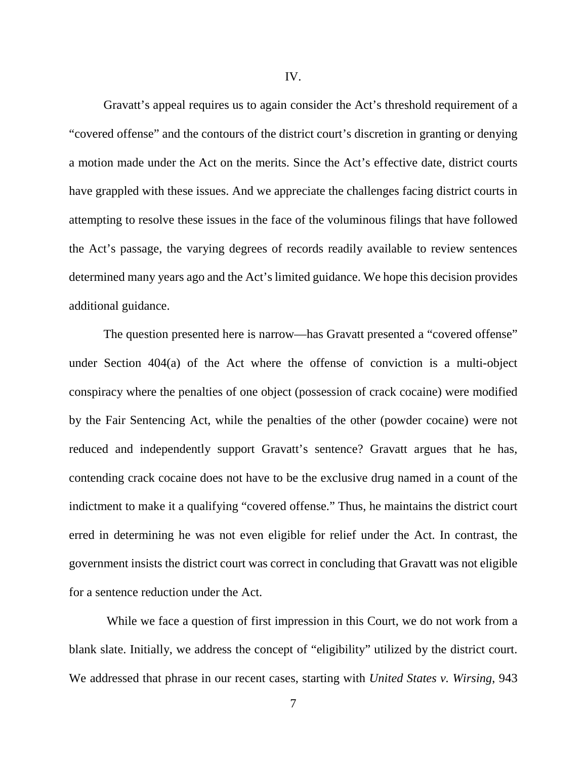Gravatt's appeal requires us to again consider the Act's threshold requirement of a "covered offense" and the contours of the district court's discretion in granting or denying a motion made under the Act on the merits. Since the Act's effective date, district courts have grappled with these issues. And we appreciate the challenges facing district courts in attempting to resolve these issues in the face of the voluminous filings that have followed the Act's passage, the varying degrees of records readily available to review sentences determined many years ago and the Act's limited guidance. We hope this decision provides additional guidance.

The question presented here is narrow—has Gravatt presented a "covered offense" under Section 404(a) of the Act where the offense of conviction is a multi-object conspiracy where the penalties of one object (possession of crack cocaine) were modified by the Fair Sentencing Act, while the penalties of the other (powder cocaine) were not reduced and independently support Gravatt's sentence? Gravatt argues that he has, contending crack cocaine does not have to be the exclusive drug named in a count of the indictment to make it a qualifying "covered offense." Thus, he maintains the district court erred in determining he was not even eligible for relief under the Act. In contrast, the government insists the district court was correct in concluding that Gravatt was not eligible for a sentence reduction under the Act.

While we face a question of first impression in this Court, we do not work from a blank slate. Initially, we address the concept of "eligibility" utilized by the district court. We addressed that phrase in our recent cases, starting with *United States v. Wirsing*, 943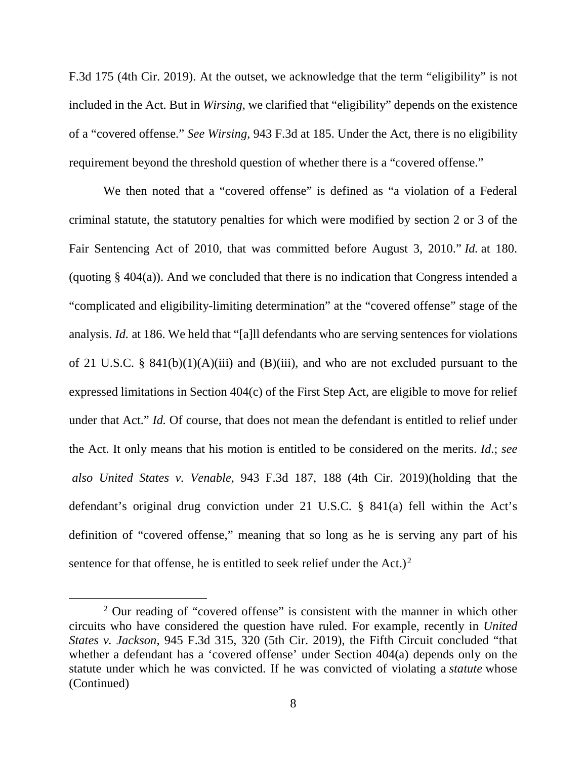F.3d 175 (4th Cir. 2019). At the outset, we acknowledge that the term "eligibility" is not included in the Act. But in *Wirsing*, we clarified that "eligibility" depends on the existence of a "covered offense." *See Wirsing*, 943 F.3d at 185. Under the Act, there is no eligibility requirement beyond the threshold question of whether there is a "covered offense."

We then noted that a "covered offense" is defined as "a violation of a Federal criminal statute, the statutory penalties for which were modified by section 2 or 3 of the Fair Sentencing Act of 2010, that was committed before August 3, 2010." *Id.* at 180. (quoting § 404(a)). And we concluded that there is no indication that Congress intended a "complicated and eligibility-limiting determination" at the "covered offense" stage of the analysis. *Id.* at 186. We held that "[a]ll defendants who are serving sentences for violations of 21 U.S.C. §  $841(b)(1)(A)(iii)$  and (B)(iii), and who are not excluded pursuant to the expressed limitations in Section 404(c) of the First Step Act, are eligible to move for relief under that Act." *Id.* Of course, that does not mean the defendant is entitled to relief under the Act. It only means that his motion is entitled to be considered on the merits. *Id*.; *see also United States v. Venable*, 943 F.3d 187, 188 (4th Cir. 2019)(holding that the defendant's original drug conviction under 21 U.S.C. § 841(a) fell within the Act's definition of "covered offense," meaning that so long as he is serving any part of his sentence for that offense, he is entitled to seek relief under the Act.)<sup>[2](#page-7-0)</sup>

<span id="page-7-0"></span><sup>&</sup>lt;sup>2</sup> Our reading of "covered offense" is consistent with the manner in which other circuits who have considered the question have ruled. For example, recently in *United States v. Jackson*, 945 F.3d 315, 320 (5th Cir. 2019), the Fifth Circuit concluded "that whether a defendant has a 'covered offense' under Section 404(a) depends only on the statute under which he was convicted. If he was convicted of violating a *statute* whose (Continued)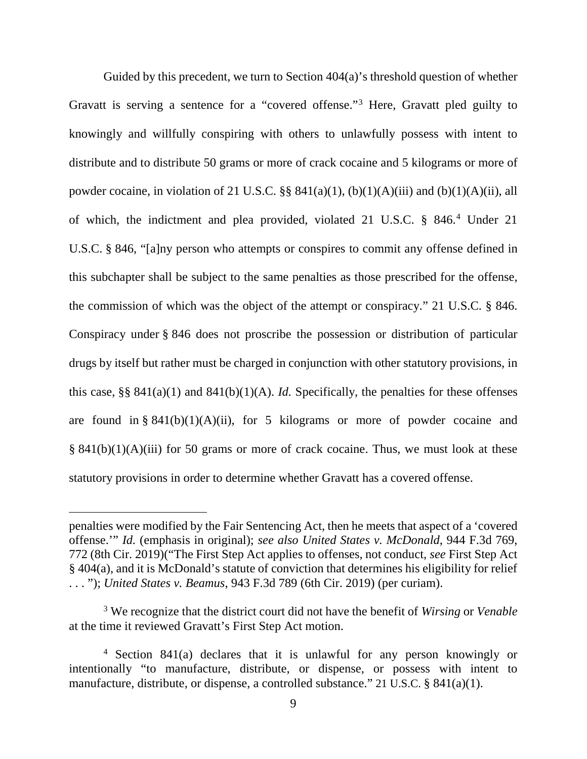Guided by this precedent, we turn to Section 404(a)'s threshold question of whether Gravatt is serving a sentence for a "covered offense."[3](#page-8-0) Here, Gravatt pled guilty to knowingly and willfully conspiring with others to unlawfully possess with intent to distribute and to distribute 50 grams or more of crack cocaine and 5 kilograms or more of powder cocaine, in violation of 21 U.S.C. §§  $841(a)(1)$ ,  $(b)(1)(A)(iii)$  and  $(b)(1)(A)(ii)$ , all of which, the indictment and plea provided, violated 21 U.S.C. § 846.[4](#page-8-1) Under 21 U.S.C. § 846, "[a]ny person who attempts or conspires to commit any offense defined in this subchapter shall be subject to the same penalties as those prescribed for the offense, the commission of which was the object of the attempt or conspiracy." 21 U.S.C. § 846. Conspiracy under § 846 does not proscribe the possession or distribution of particular drugs by itself but rather must be charged in conjunction with other statutory provisions, in this case, §§  $841(a)(1)$  and  $841(b)(1)(A)$ . *Id.* Specifically, the penalties for these offenses are found in §  $841(b)(1)(A)(ii)$ , for 5 kilograms or more of powder cocaine and  $§ 841(b)(1)(A)(iii)$  for 50 grams or more of crack cocaine. Thus, we must look at these statutory provisions in order to determine whether Gravatt has a covered offense.

 $\overline{a}$ 

penalties were modified by the Fair Sentencing Act, then he meets that aspect of a 'covered offense.'" *Id.* (emphasis in original); *see also United States v. McDonald*, 944 F.3d 769, 772 (8th Cir. 2019)("The First Step Act applies to offenses, not conduct, *see* First Step Act § 404(a), and it is McDonald's statute of conviction that determines his eligibility for relief . . . "); *United States v. Beamus*, 943 F.3d 789 (6th Cir. 2019) (per curiam).

<span id="page-8-0"></span><sup>3</sup> We recognize that the district court did not have the benefit of *Wirsing* or *Venable* at the time it reviewed Gravatt's First Step Act motion.

<span id="page-8-1"></span><sup>4</sup> Section 841(a) declares that it is unlawful for any person knowingly or intentionally "to manufacture, distribute, or dispense, or possess with intent to manufacture, distribute, or dispense, a controlled substance." 21 U.S.C. § 841(a)(1).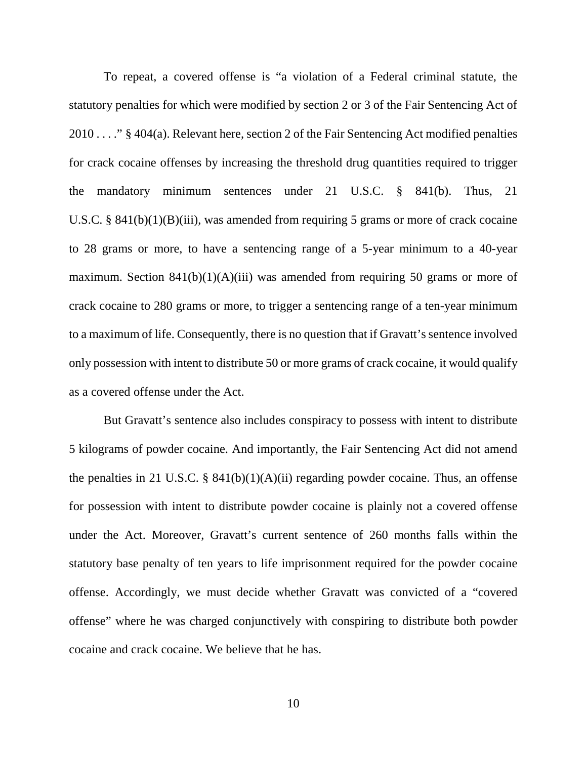To repeat, a covered offense is "a violation of a Federal criminal statute, the statutory penalties for which were modified by section 2 or 3 of the Fair Sentencing Act of 2010 . . . ." § 404(a). Relevant here, section 2 of the Fair Sentencing Act modified penalties for crack cocaine offenses by increasing the threshold drug quantities required to trigger the mandatory minimum sentences under 21 U.S.C. § 841(b). Thus, 21 U.S.C. § 841(b)(1)(B)(iii), was amended from requiring 5 grams or more of crack cocaine to 28 grams or more, to have a sentencing range of a 5-year minimum to a 40-year maximum. Section  $841(b)(1)(A)(iii)$  was amended from requiring 50 grams or more of crack cocaine to 280 grams or more, to trigger a sentencing range of a ten-year minimum to a maximum of life. Consequently, there is no question that if Gravatt's sentence involved only possession with intent to distribute 50 or more grams of crack cocaine, it would qualify as a covered offense under the Act.

But Gravatt's sentence also includes conspiracy to possess with intent to distribute 5 kilograms of powder cocaine. And importantly, the Fair Sentencing Act did not amend the penalties in 21 U.S.C. § 841(b)(1)(A)(ii) regarding powder cocaine. Thus, an offense for possession with intent to distribute powder cocaine is plainly not a covered offense under the Act. Moreover, Gravatt's current sentence of 260 months falls within the statutory base penalty of ten years to life imprisonment required for the powder cocaine offense. Accordingly, we must decide whether Gravatt was convicted of a "covered offense" where he was charged conjunctively with conspiring to distribute both powder cocaine and crack cocaine. We believe that he has.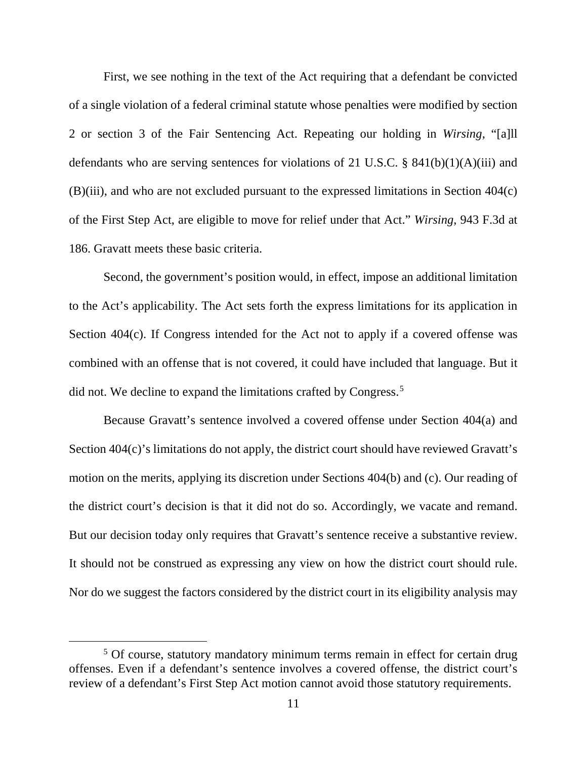First, we see nothing in the text of the Act requiring that a defendant be convicted of a single violation of a federal criminal statute whose penalties were modified by section 2 or section 3 of the Fair Sentencing Act. Repeating our holding in *Wirsing*, "[a]ll defendants who are serving sentences for violations of 21 U.S.C. § 841(b)(1)(A)(iii) and (B)(iii), and who are not excluded pursuant to the expressed limitations in Section 404(c) of the First Step Act, are eligible to move for relief under that Act." *Wirsing*, 943 F.3d at 186. Gravatt meets these basic criteria.

Second, the government's position would, in effect, impose an additional limitation to the Act's applicability. The Act sets forth the express limitations for its application in Section 404(c). If Congress intended for the Act not to apply if a covered offense was combined with an offense that is not covered, it could have included that language. But it did not. We decline to expand the limitations crafted by Congress.<sup>[5](#page-10-0)</sup>

Because Gravatt's sentence involved a covered offense under Section 404(a) and Section 404(c)'s limitations do not apply, the district court should have reviewed Gravatt's motion on the merits, applying its discretion under Sections 404(b) and (c). Our reading of the district court's decision is that it did not do so. Accordingly, we vacate and remand. But our decision today only requires that Gravatt's sentence receive a substantive review. It should not be construed as expressing any view on how the district court should rule. Nor do we suggest the factors considered by the district court in its eligibility analysis may

<span id="page-10-0"></span><sup>&</sup>lt;sup>5</sup> Of course, statutory mandatory minimum terms remain in effect for certain drug offenses. Even if a defendant's sentence involves a covered offense, the district court's review of a defendant's First Step Act motion cannot avoid those statutory requirements.